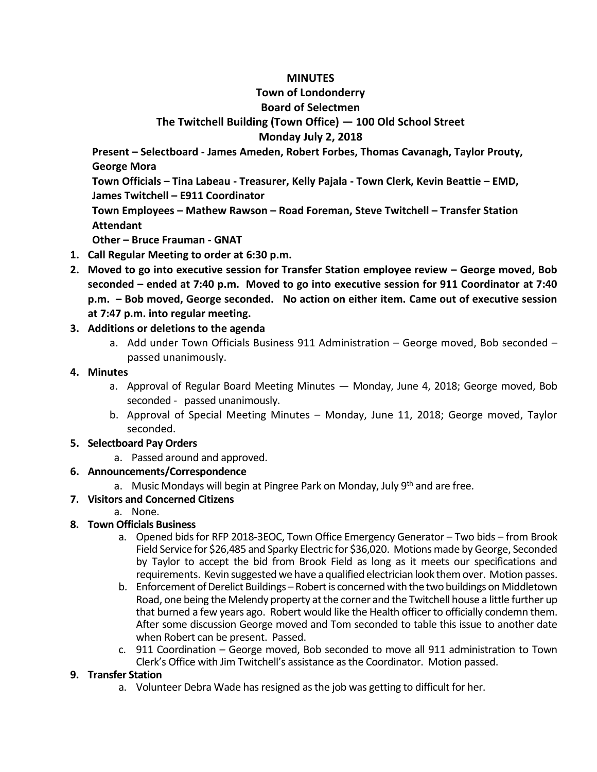### **MINUTES**

## **Town of Londonderry**

## **Board of Selectmen**

# **The Twitchell Building (Town Office) — 100 Old School Street**

## **Monday July 2, 2018**

**Present – Selectboard - James Ameden, Robert Forbes, Thomas Cavanagh, Taylor Prouty, George Mora**

**Town Officials – Tina Labeau - Treasurer, Kelly Pajala - Town Clerk, Kevin Beattie – EMD, James Twitchell – E911 Coordinator**

**Town Employees – Mathew Rawson – Road Foreman, Steve Twitchell – Transfer Station Attendant**

**Other – Bruce Frauman - GNAT**

- **1. Call Regular Meeting to order at 6:30 p.m.**
- **2. Moved to go into executive session for Transfer Station employee review – George moved, Bob seconded – ended at 7:40 p.m. Moved to go into executive session for 911 Coordinator at 7:40 p.m. – Bob moved, George seconded. No action on either item. Came out of executive session at 7:47 p.m. into regular meeting.**

## **3. Additions or deletions to the agenda**

a. Add under Town Officials Business 911 Administration – George moved, Bob seconded – passed unanimously.

## **4. Minutes**

- a. Approval of Regular Board Meeting Minutes Monday, June 4, 2018; George moved, Bob seconded - passed unanimously.
- b. Approval of Special Meeting Minutes Monday, June 11, 2018; George moved, Taylor seconded.

## **5. Selectboard Pay Orders**

a. Passed around and approved.

## **6. Announcements/Correspondence**

a. Music Mondays will begin at Pingree Park on Monday, July  $9<sup>th</sup>$  and are free.

## **7. Visitors and Concerned Citizens**

## a. None.

## **8. Town Officials Business**

- a. Opened bids for RFP 2018-3EOC, Town Office Emergency Generator Two bids from Brook Field Service for \$26,485 and Sparky Electric for \$36,020. Motions made by George, Seconded by Taylor to accept the bid from Brook Field as long as it meets our specifications and requirements. Kevin suggested we have a qualified electrician look them over. Motion passes.
- b. Enforcement of Derelict Buildings Robert is concerned with the two buildings on Middletown Road, one being the Melendy property at the corner and the Twitchell house a little further up that burned a few years ago. Robert would like the Health officer to officially condemn them. After some discussion George moved and Tom seconded to table this issue to another date when Robert can be present. Passed.
- c. 911 Coordination George moved, Bob seconded to move all 911 administration to Town Clerk's Office with Jim Twitchell's assistance as the Coordinator. Motion passed.

## **9. Transfer Station**

a. Volunteer Debra Wade has resigned as the job was getting to difficult for her.